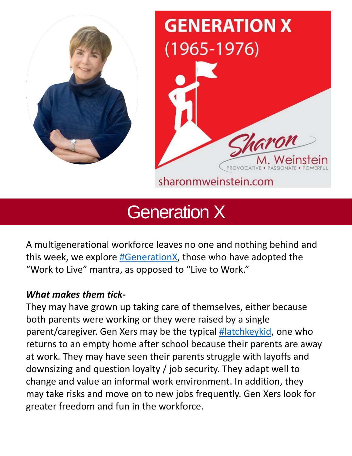



sharonmweinstein.com

# Generation X

A multigenerational workforce leaves no one and nothing behind and this week, we explore [#GenerationX,](https://www.linkedin.com/feed/hashtag/?keywords=generationx&highlightedUpdateUrns=urn%3Ali%3Aactivity%3A6929749395441676288) those who have adopted the "Work to Live" mantra, as opposed to "Live to Work."

## *What makes them tick-*

They may have grown up taking care of themselves, either because both parents were working or they were raised by a single parent/caregiver. Gen Xers may be the typical [#latchkeykid](https://www.linkedin.com/feed/hashtag/?keywords=latchkeykid&highlightedUpdateUrns=urn%3Ali%3Aactivity%3A6929749395441676288), one who returns to an empty home after school because their parents are away at work. They may have seen their parents struggle with layoffs and downsizing and question loyalty / job security. They adapt well to change and value an informal work environment. In addition, they may take risks and move on to new jobs frequently. Gen Xers look for greater freedom and fun in the workforce.